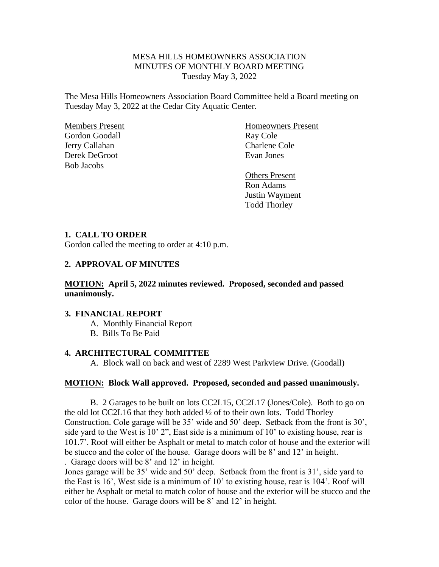# MESA HILLS HOMEOWNERS ASSOCIATION MINUTES OF MONTHLY BOARD MEETING Tuesday May 3, 2022

The Mesa Hills Homeowners Association Board Committee held a Board meeting on Tuesday May 3, 2022 at the Cedar City Aquatic Center.

Gordon Goodall Ray Cole Jerry Callahan Charlene Cole Charlene Cole Derek DeGroot Evan Jones Bob Jacobs

Members Present Homeowners Present

Others Present Ron Adams Justin Wayment Todd Thorley

## **1. CALL TO ORDER**

Gordon called the meeting to order at 4:10 p.m.

# **2. APPROVAL OF MINUTES**

## **MOTION: April 5, 2022 minutes reviewed. Proposed, seconded and passed unanimously.**

#### **3. FINANCIAL REPORT**

A. Monthly Financial Report

B. Bills To Be Paid

#### **4. ARCHITECTURAL COMMITTEE**

A. Block wall on back and west of 2289 West Parkview Drive. (Goodall)

### **MOTION: Block Wall approved. Proposed, seconded and passed unanimously.**

B. 2 Garages to be built on lots CC2L15, CC2L17 (Jones/Cole). Both to go on the old lot CC2L16 that they both added ½ of to their own lots. Todd Thorley Construction. Cole garage will be 35' wide and 50' deep. Setback from the front is 30', side yard to the West is 10' 2", East side is a minimum of 10' to existing house, rear is 101.7'. Roof will either be Asphalt or metal to match color of house and the exterior will be stucco and the color of the house. Garage doors will be 8' and 12' in height. . Garage doors will be 8' and 12' in height.

Jones garage will be 35' wide and 50' deep. Setback from the front is 31', side yard to the East is 16', West side is a minimum of 10' to existing house, rear is 104'. Roof will either be Asphalt or metal to match color of house and the exterior will be stucco and the color of the house. Garage doors will be 8' and 12' in height.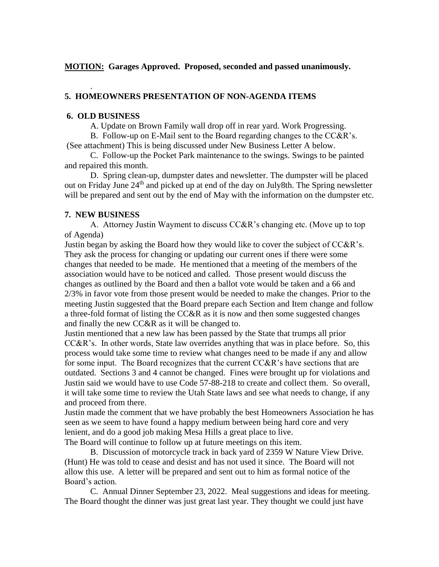# **MOTION: Garages Approved. Proposed, seconded and passed unanimously.**

# **5. HOMEOWNERS PRESENTATION OF NON-AGENDA ITEMS**

#### **6. OLD BUSINESS**

.

A. Update on Brown Family wall drop off in rear yard. Work Progressing.

B. Follow-up on E-Mail sent to the Board regarding changes to the CC&R's. (See attachment) This is being discussed under New Business Letter A below.

C. Follow-up the Pocket Park maintenance to the swings. Swings to be painted and repaired this month.

D. Spring clean-up, dumpster dates and newsletter. The dumpster will be placed out on Friday June 24<sup>th</sup> and picked up at end of the day on July8th. The Spring newsletter will be prepared and sent out by the end of May with the information on the dumpster etc.

## **7. NEW BUSINESS**

A. Attorney Justin Wayment to discuss CC&R's changing etc. (Move up to top of Agenda)

Justin began by asking the Board how they would like to cover the subject of CC&R's. They ask the process for changing or updating our current ones if there were some changes that needed to be made. He mentioned that a meeting of the members of the association would have to be noticed and called. Those present would discuss the changes as outlined by the Board and then a ballot vote would be taken and a 66 and 2/3% in favor vote from those present would be needed to make the changes. Prior to the meeting Justin suggested that the Board prepare each Section and Item change and follow a three-fold format of listing the CC&R as it is now and then some suggested changes and finally the new CC&R as it will be changed to.

Justin mentioned that a new law has been passed by the State that trumps all prior CC&R's. In other words, State law overrides anything that was in place before. So, this process would take some time to review what changes need to be made if any and allow for some input. The Board recognizes that the current CC&R's have sections that are outdated. Sections 3 and 4 cannot be changed. Fines were brought up for violations and Justin said we would have to use Code 57-88-218 to create and collect them. So overall, it will take some time to review the Utah State laws and see what needs to change, if any and proceed from there.

Justin made the comment that we have probably the best Homeowners Association he has seen as we seem to have found a happy medium between being hard core and very lenient, and do a good job making Mesa Hills a great place to live.

The Board will continue to follow up at future meetings on this item.

B. Discussion of motorcycle track in back yard of 2359 W Nature View Drive. (Hunt) He was told to cease and desist and has not used it since. The Board will not allow this use. A letter will be prepared and sent out to him as formal notice of the Board's action.

C. Annual Dinner September 23, 2022. Meal suggestions and ideas for meeting. The Board thought the dinner was just great last year. They thought we could just have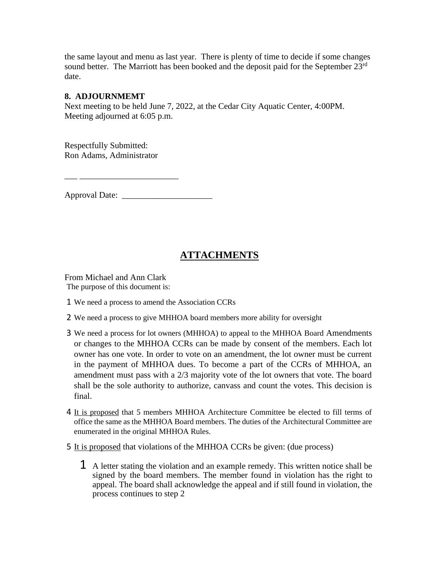the same layout and menu as last year. There is plenty of time to decide if some changes sound better. The Marriott has been booked and the deposit paid for the September 23<sup>rd</sup> date.

# **8. ADJOURNMEMT**

Next meeting to be held June 7, 2022, at the Cedar City Aquatic Center, 4:00PM. Meeting adjourned at 6:05 p.m.

Respectfully Submitted: Ron Adams, Administrator

\_\_\_ \_\_\_\_\_\_\_\_\_\_\_\_\_\_\_\_\_\_\_\_\_\_\_

Approval Date: \_\_\_\_\_\_\_\_\_\_\_\_\_\_\_\_\_\_\_\_\_

# **ATTACHMENTS**

From Michael and Ann Clark The purpose of this document is:

- 1 We need a process to amend the Association CCRs
- 2 We need a process to give MHHOA board members more ability for oversight
- 3 We need a process for lot owners (MHHOA) to appeal to the MHHOA Board Amendments or changes to the MHHOA CCRs can be made by consent of the members. Each lot owner has one vote. In order to vote on an amendment, the lot owner must be current in the payment of MHHOA dues. To become a part of the CCRs of MHHOA, an amendment must pass with a 2/3 majority vote of the lot owners that vote. The board shall be the sole authority to authorize, canvass and count the votes. This decision is final.
- 4 It is proposed that 5 members MHHOA Architecture Committee be elected to fill terms of office the same as the MHHOA Board members. The duties of the Architectural Committee are enumerated in the original MHHOA Rules.
- 5 It is proposed that violations of the MHHOA CCRs be given: (due process)
	- 1 A letter stating the violation and an example remedy. This written notice shall be signed by the board members. The member found in violation has the right to appeal. The board shall acknowledge the appeal and if still found in violation, the process continues to step 2